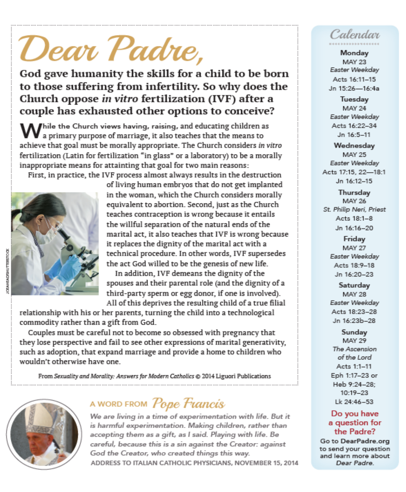# 'Dear Padre,

God gave humanity the skills for a child to be born to those suffering from infertility. So why does the Church oppose in vitro fertilization (IVF) after a couple has exhausted other options to conceive?

Mile the Church views having, raising, and educating children as a primary purpose of marriage, it also teaches that the means to achieve that goal must be morally appropriate. The Church considers in vitro fertilization (Latin for fertilization "in glass" or a laboratory) to be a morally inappropriate means for attainting that goal for two main reasons:

First, in practice, the IVF process almost always results in the destruction



of living human embryos that do not get implanted in the woman, which the Church considers morally equivalent to abortion. Second, just as the Church teaches contraception is wrong because it entails the willful separation of the natural ends of the marital act, it also teaches that IVF is wrong because it replaces the dignity of the marital act with a technical procedure. In other words, IVF supersedes the act God willed to be the genesis of new life.

In addition, IVF demeans the dignity of the spouses and their parental role (and the dignity of a third-party sperm or egg donor, if one is involved). All of this deprives the resulting child of a true filial

relationship with his or her parents, turning the child into a technological commodity rather than a gift from God.

Couples must be careful not to become so obsessed with pregnancy that they lose perspective and fail to see other expressions of marital generativity, such as adoption, that expand marriage and provide a home to children who wouldn't otherwise have one.

From Sexuality and Morality: Answers for Modern Catholics @ 2014 Liguori Publications



# A WORD FROM Pope Francis

We are living in a time of experimentation with life. But it is harmful experimentation. Making children, rather than accepting them as a gift, as I said. Playing with life. Be careful, because this is a sin against the Creator: against God the Creator, who created things this way. ADDRESS TO ITALIAN CATHOLIC PHYSICIANS, NOVEMBER 15, 2014

# Calendar

Monday **MAY 23** Easter Weekday Acts 16:11-15 Jn 15:26-16:4a

Tuesday **MAY 24** Easter Weekday Acts 16:22-34 Jn 16:5-11

Wednesday **MAY 25** Easter Weekday Acts 17:15, 22-18:1 Jn 16:12-15

Thursday MAY 26 St. Philip Neri, Priest Acts 18:1-8 Jn 16:16-20

> Friday **MAY 27** Easter Weekday Acts 18:9-18 Jn 16:20-23

Saturday **MAY 28** Easter Weekday Acts 18:23-28 Jn 16:23b-28

Sunday **MAY 29** The Ascension of the Lord Acts 1:1-11 Eph 1:17-23 or Heb 9:24-28; 10:19-23 Lk 24:46-53

#### Do you have a question for the Padre?

Go to DearPadre.org to send your question and learn more about Dear Padre.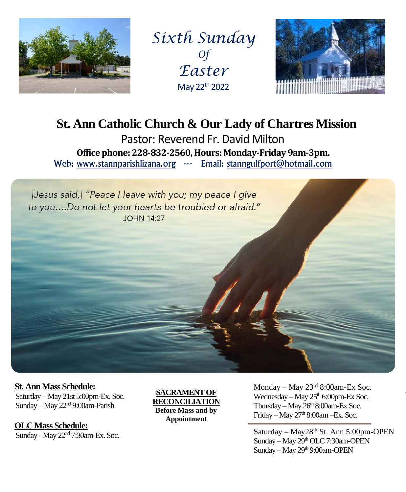

*Sixth Sunday Of Easter* May 22th 2022



# **St. Ann Catholic Church & Our Lady of Chartres Mission** Pastor: Reverend Fr. David Milton **Office phone: 228-832-2560, Hours: Monday-Friday 9am-3pm.**

Web: www.stannparishlizana.org --- Email: stanngulfport@hotmail.com



 **St. Ann Mass Schedule:**

 Saturday – May 21st 5:00pm-Ex. Soc. Sunday – May 22nd 9:00am-Parish

 **OLC Mass Schedule:** Sunday - May 22<sup>nd</sup> 7:30am-Ex. Soc.

**SACRAMENT OF RECONCILIATION Before Mass and by Appointment**

 $We already – May 25<sup>th</sup> 6:00pm-Ex$  Soc. Thursday – May 26<sup>th</sup> 8:00am-Ex Soc. Friday – May  $27<sup>th</sup> 8:00$ am –Ex. Soc. March 11th 8:00am Glen Parker Monday – May  $23<sup>rd</sup> 8:00$ am-Ex Soc.

Saturday – May28<sup>th</sup> St. Ann 5:00pm-OPEN Sunday – May 29<sup>th</sup> OLC 7:30am-OPEN Sunday – May 29<sup>th</sup> 9:00am-OPEN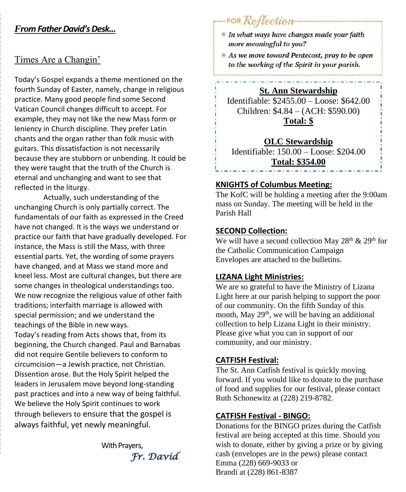## *From Father David'sDesk...*

## Times Are a Changin'

Today's Gospel expands a theme mentioned on the fourth Sunday of Easter, namely, change in religious practice. Many good people find some Second Vatican Council changes difficult to accept. For example, they may not like the new Mass form or leniency in Church discipline. They prefer Latin chants and the organ rather than folk music with guitars. This dissatisfaction is not necessarily because they are stubborn or unbending. It could be they were taught that the truth of the Church is eternal and unchanging and want to see that reflected in the liturgy.

Actually, such understanding of the unchanging Church is only partially correct. The fundamentals of our faith as expressed in the Creed have not changed. It is the ways we understand or practice our faith that have gradually developed. For instance, the Mass is still the Mass, with three essential parts. Yet, the wording of some prayers have changed, and at Mass we stand more and kneel less. Most are cultural changes, but there are some changes in theological understandings too. We now recognize the religious value of other faith traditions; interfaith marriage is allowed with special permission; and we understand the teachings of the Bible in new ways.

Today's reading from Acts shows that, from its beginning, the Church changed. Paul and Barnabas did not require Gentile believers to conform to circumcision—a Jewish practice, not Christian. Dissention arose. But the Holy Spirit helped the leaders in Jerusalem move beyond long-standing past practices and into a new way of being faithful. We believe the Holy Spirit continues to work through believers to ensure that the gospel is always faithful, yet newly meaningful.

With Prayers. *Fr. David* 

## FOR Reflection

- $*$  In what ways have changes made your faith more meaningful to you?
- $*$  As we move toward Pentecost, pray to be open to the working of the Spirit in your parish.

**St. Ann Stewardship**

Identifiable: \$2455.00 – Loose: \$642.00 Children: \$4.84 – (ACH: \$590.00) **Total: \$**

#### **OLC Stewardship**

Identifiable: 150.00 – Loose: \$204.00 **Total: \$354.00**

#### **KNIGHTS of Columbus Meeting:**

The KofC will be holding a meeting after the 9:00am mass on Sunday. The meeting will be held in the Parish Hall

#### **SECOND Collection:**

ļ

We will have a second collection May 28<sup>th</sup> & 29<sup>th</sup> for the Catholic Communication Campaign Envelopes are attached to the bulletins.

#### **LIZANA Light Ministries:**

We are so grateful to have the Ministry of Lizana Light here at our parish helping to support the poor of our community. On the fifth Sunday of this month, May 29<sup>th</sup>, we will be having an additional collection to help Lizana Light in their ministry. Please give what you can in support of our community, and our ministry.

#### **CATFISH Festival:**

The St. Ann Catfish festival is quickly moving forward. If you would like to donate to the purchase of food and supplies for our festival, please contact Ruth Schonewitz at (228) 219-8782.

#### **CATFISH Festival - BINGO:**

Donations for the BINGO prizes during the Catfish festival are being accepted at this time. Should you wish to donate, either by giving a prize or by giving cash (envelopes are in the pews) please contact Emma (228) 669-9033 or Brandi at (228) 861-8387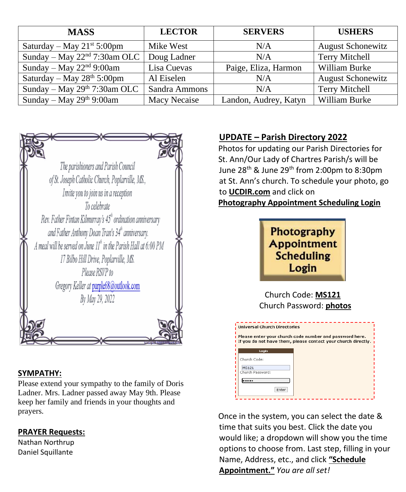| <b>MASS</b>                     | <b>LECTOR</b> | <b>SERVERS</b>        | <b>USHERS</b>            |
|---------------------------------|---------------|-----------------------|--------------------------|
| Saturday – May $21^{st}$ 5:00pm | Mike West     | N/A                   | <b>August Schonewitz</b> |
| Sunday – May $22nd$ 7:30am OLC  | Doug Ladner   | N/A                   | Terry Mitchell           |
| Sunday – May $22nd$ 9:00am      | Lisa Cuevas   | Paige, Eliza, Harmon  | William Burke            |
| Saturday – May $28th 5:00$ pm   | Al Eiselen    | N/A                   | <b>August Schonewitz</b> |
| Sunday – May $29th$ 7:30am OLC  | Sandra Ammons | N/A                   | Terry Mitchell           |
| Sunday – May $29th$ 9:00am      | Macy Necaise  | Landon, Audrey, Katyn | William Burke            |



#### **SYMPATHY:**

Please extend your sympathy to the family of Doris Ladner. Mrs. Ladner passed away May 9th. Please keep her family and friends in your thoughts and prayers.

### **PRAYER Requests:**

Nathan Northrup Daniel Squillante

## **UPDATE – Parish Directory 2022**

 Photos for updating our Parish Directories for St. Ann/Our Lady of Chartres Parish/s will be June 28<sup>th</sup> & June 29<sup>th</sup> from 2:00pm to 8:30pm at St. Ann's church. To schedule your photo, go to **UCDIR.com** and click on

 **Photography Appointment Scheduling Login**



 Church Code: **MS121** Church Password: **photos**

| <b>Universal Church Directories</b> | Please enter your church code number and password here.<br>If you do not have them, please contact your church directly. |
|-------------------------------------|--------------------------------------------------------------------------------------------------------------------------|
| Login                               |                                                                                                                          |
| Church Code:                        |                                                                                                                          |
| <b>MS121</b><br>Church Password:    |                                                                                                                          |
|                                     |                                                                                                                          |
|                                     |                                                                                                                          |
| Enter                               |                                                                                                                          |

 Once in the system, you can select the date & time that suits you best. Click the date you would like; a dropdown will show you the time options to choose from. Last step, filling in your Name, Address, etc., and click **"Schedule Appointment."** *You are all set!*